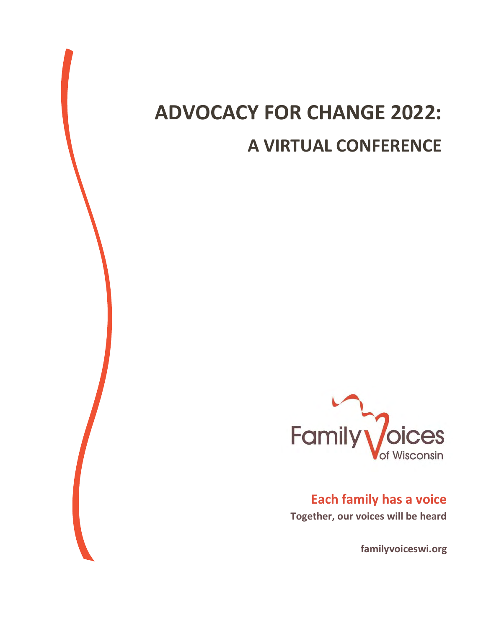## **ADVOCACY FOR CHANGE 2022: A VIRTUAL CONFERENCE**



**Each family has a voice Together, our voices will be heard**

**familyvoiceswi.org**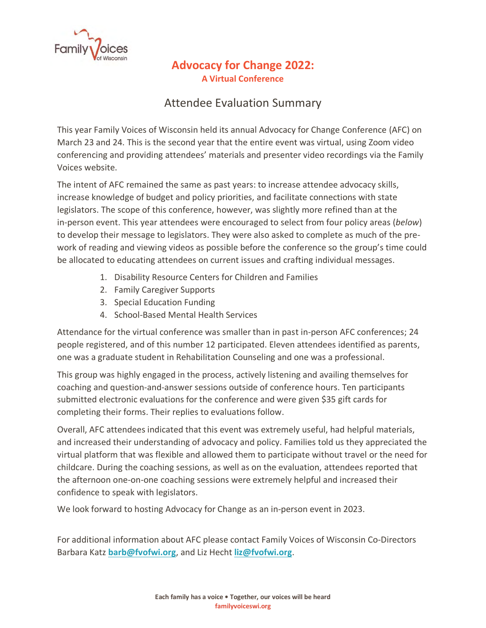

## **Advocacy for Change 2022: A Virtual Conference**

## Attendee Evaluation Summary

This year Family Voices of Wisconsin held its annual Advocacy for Change Conference (AFC) on March 23 and 24. This is the second year that the entire event was virtual, using Zoom video conferencing and providing attendees' materials and presenter video recordings via the Family Voices website.

The intent of AFC remained the same as past years: to increase attendee advocacy skills, increase knowledge of budget and policy priorities, and facilitate connections with state legislators. The scope of this conference, however, was slightly more refined than at the in-person event. This year attendees were encouraged to select from four policy areas (*below*) to develop their message to legislators. They were also asked to complete as much of the prework of reading and viewing videos as possible before the conference so the group's time could be allocated to educating attendees on current issues and crafting individual messages.

- 1. Disability Resource Centers for Children and Families
- 2. Family Caregiver Supports
- 3. Special Education Funding
- 4. School-Based Mental Health Services

Attendance for the virtual conference was smaller than in past in-person AFC conferences; 24 people registered, and of this number 12 participated. Eleven attendees identified as parents, one was a graduate student in Rehabilitation Counseling and one was a professional.

This group was highly engaged in the process, actively listening and availing themselves for coaching and question-and-answer sessions outside of conference hours. Ten participants submitted electronic evaluations for the conference and were given \$35 gift cards for completing their forms. Their replies to evaluations follow.

Overall, AFC attendees indicated that this event was extremely useful, had helpful materials, and increased their understanding of advocacy and policy. Families told us they appreciated the virtual platform that was flexible and allowed them to participate without travel or the need for childcare. During the coaching sessions, as well as on the evaluation, attendees reported that the afternoon one-on-one coaching sessions were extremely helpful and increased their confidence to speak with legislators.

We look forward to hosting Advocacy for Change as an in-person event in 2023.

For additional information about AFC please contact Family Voices of Wisconsin Co-Directors Barbara Katz **[barb@fvofwi.org](mailto:barb@fvofwi.org)**, and Liz Hecht **[liz@fvofwi.org](mailto:liz@fvofwi.org)**.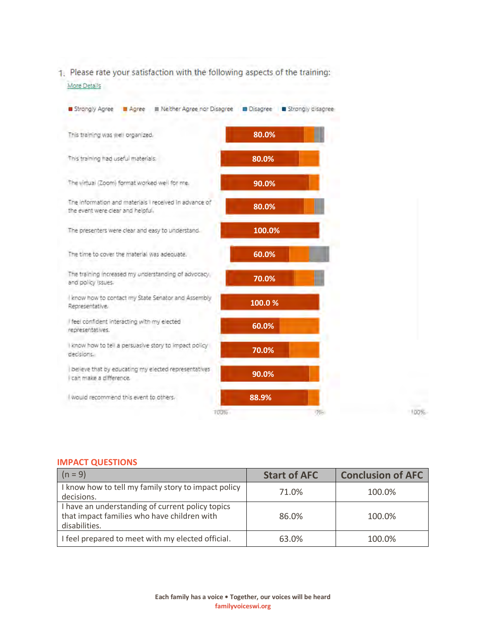1. Please rate your satisfaction with the following aspects of the training: More Details

| Strongly Agree<br>Agree                                                                     | III Neither Agree nor Disagree ■ Disagree ■ Strongly disagree |   |      |
|---------------------------------------------------------------------------------------------|---------------------------------------------------------------|---|------|
| This training was well organized.                                                           | 80.0%                                                         |   |      |
| This training had useful materials.                                                         | 80.0%                                                         |   |      |
| The virtual (Zoom) format worked well for me.                                               | 90.0%                                                         |   |      |
| The information and materials I received in advance of<br>the event were clear and helpful. | 80.0%                                                         |   |      |
| The presenters were clear and easy to understand.                                           | 100.0%                                                        |   |      |
| The time to cover the material was adequate.                                                | 60.0%                                                         |   |      |
| The training increased my understanding of advocacy.<br>and policy issues.                  | 70.0%                                                         |   |      |
| know how to contact my State Senator and Assembly<br>Representative.                        | 100.0%                                                        |   |      |
| I feel confident interacting with my elected<br>representatives.                            | 60.0%                                                         |   |      |
| know how to tell a persuasive story to impact policy<br>decisions.                          | 70.0%                                                         |   |      |
| believe that by educating my elected representatives<br>I can make a difference.            | 90.0%                                                         |   |      |
| I would recommend this event to others.                                                     | 88.9%                                                         |   |      |
|                                                                                             | 100%                                                          | 呼 | 100% |

## **IMPACT QUESTIONS**

| $(n = 9)$                                                                                                        | <b>Start of AFC</b> | <b>Conclusion of AFC</b> |
|------------------------------------------------------------------------------------------------------------------|---------------------|--------------------------|
| I know how to tell my family story to impact policy<br>decisions.                                                | 71.0%               | 100.0%                   |
| I have an understanding of current policy topics<br>that impact families who have children with<br>disabilities. | 86.0%               | 100.0%                   |
| I feel prepared to meet with my elected official.                                                                | 63.0%               | 100.0%                   |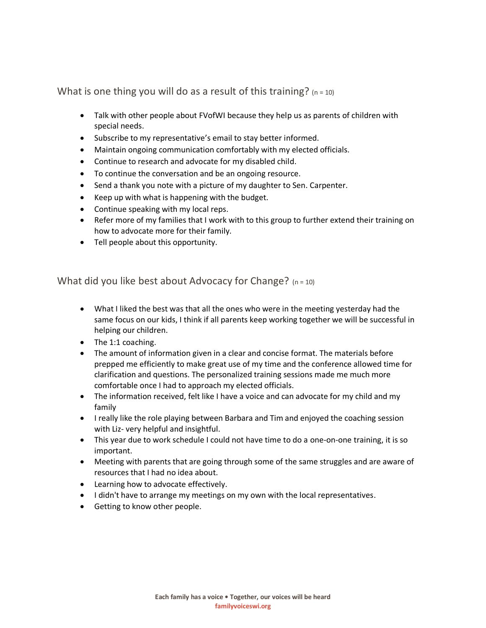What is one thing you will do as a result of this training?  $(n = 10)$ 

- Talk with other people about FVofWI because they help us as parents of children with special needs.
- Subscribe to my representative's email to stay better informed.
- Maintain ongoing communication comfortably with my elected officials.
- Continue to research and advocate for my disabled child.
- To continue the conversation and be an ongoing resource.
- Send a thank you note with a picture of my daughter to Sen. Carpenter.
- Keep up with what is happening with the budget.
- Continue speaking with my local reps.
- Refer more of my families that I work with to this group to further extend their training on how to advocate more for their family.
- Tell people about this opportunity.

What did you like best about Advocacy for Change?  $(n = 10)$ 

- What I liked the best was that all the ones who were in the meeting yesterday had the same focus on our kids, I think if all parents keep working together we will be successful in helping our children.
- The 1:1 coaching.
- The amount of information given in a clear and concise format. The materials before prepped me efficiently to make great use of my time and the conference allowed time for clarification and questions. The personalized training sessions made me much more comfortable once I had to approach my elected officials.
- The information received, felt like I have a voice and can advocate for my child and my family
- I really like the role playing between Barbara and Tim and enjoyed the coaching session with Liz- very helpful and insightful.
- This year due to work schedule I could not have time to do a one-on-one training, it is so important.
- Meeting with parents that are going through some of the same struggles and are aware of resources that I had no idea about.
- Learning how to advocate effectively.
- I didn't have to arrange my meetings on my own with the local representatives.
- Getting to know other people.